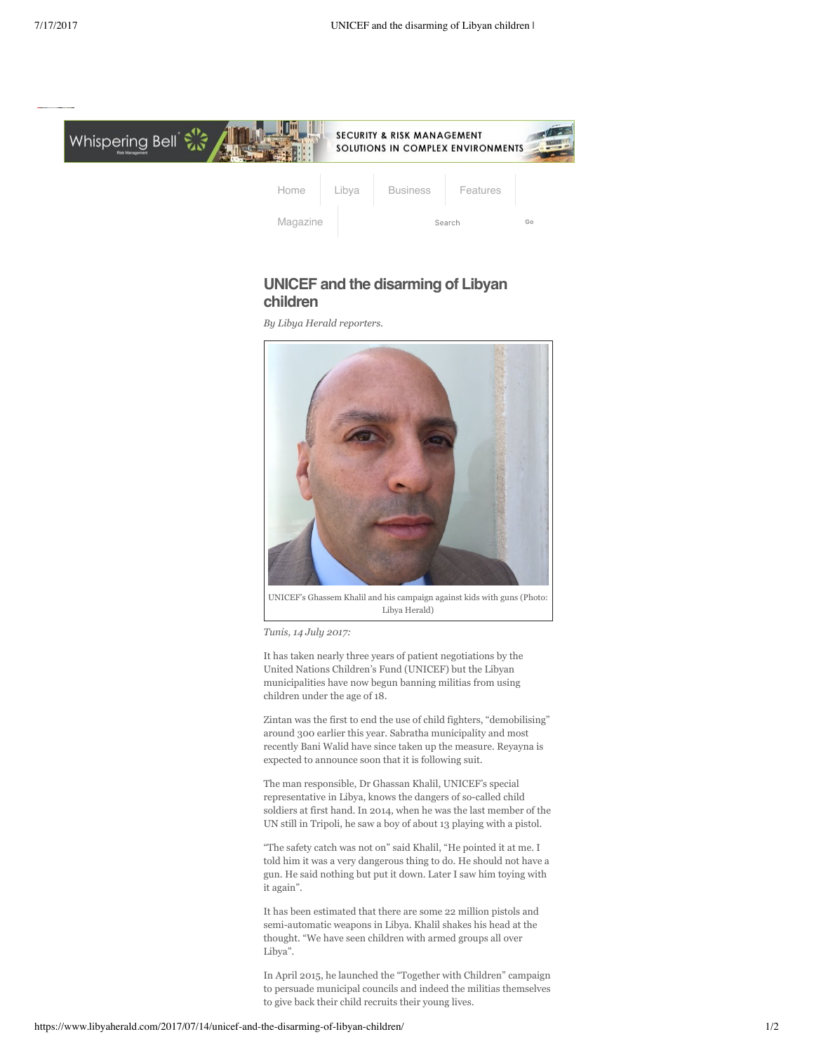

## **UNICEF and the disarming of Libyan children**

*By Libya Herald reporters.*



UNICEF's Ghassem Khalil and his campaign against kids with guns (Photo: Libya Herald)

*Tunis, 14 July 2017:*

It has taken nearly three years of patient negotiations by the United Nations Children's Fund (UNICEF) but the Libyan municipalities have now begun banning militias from using children under the age of 18.

Zintan was the first to end the use of child fighters, "demobilising" around 300 earlier this year. Sabratha municipality and most recently Bani Walid have since taken up the measure. Reyayna is expected to announce soon that it is following suit.

The man responsible, Dr Ghassan Khalil, UNICEF's special representative in Libya, knows the dangers of so-called child soldiers at first hand. In 2014, when he was the last member of the UN still in Tripoli, he saw a boy of about 13 playing with a pistol.

"The safety catch was not on" said Khalil, "He pointed it at me. I told him it was a very dangerous thing to do. He should not have a gun. He said nothing but put it down. Later I saw him toying with it again".

It has been estimated that there are some 22 million pistols and semi-automatic weapons in Libya. Khalil shakes his head at the thought. "We have seen children with armed groups all over Libya".

In April 2015, he launched the "Together with Children" campaign to persuade municipal councils and indeed the militias themselves to give back their child recruits their young lives.